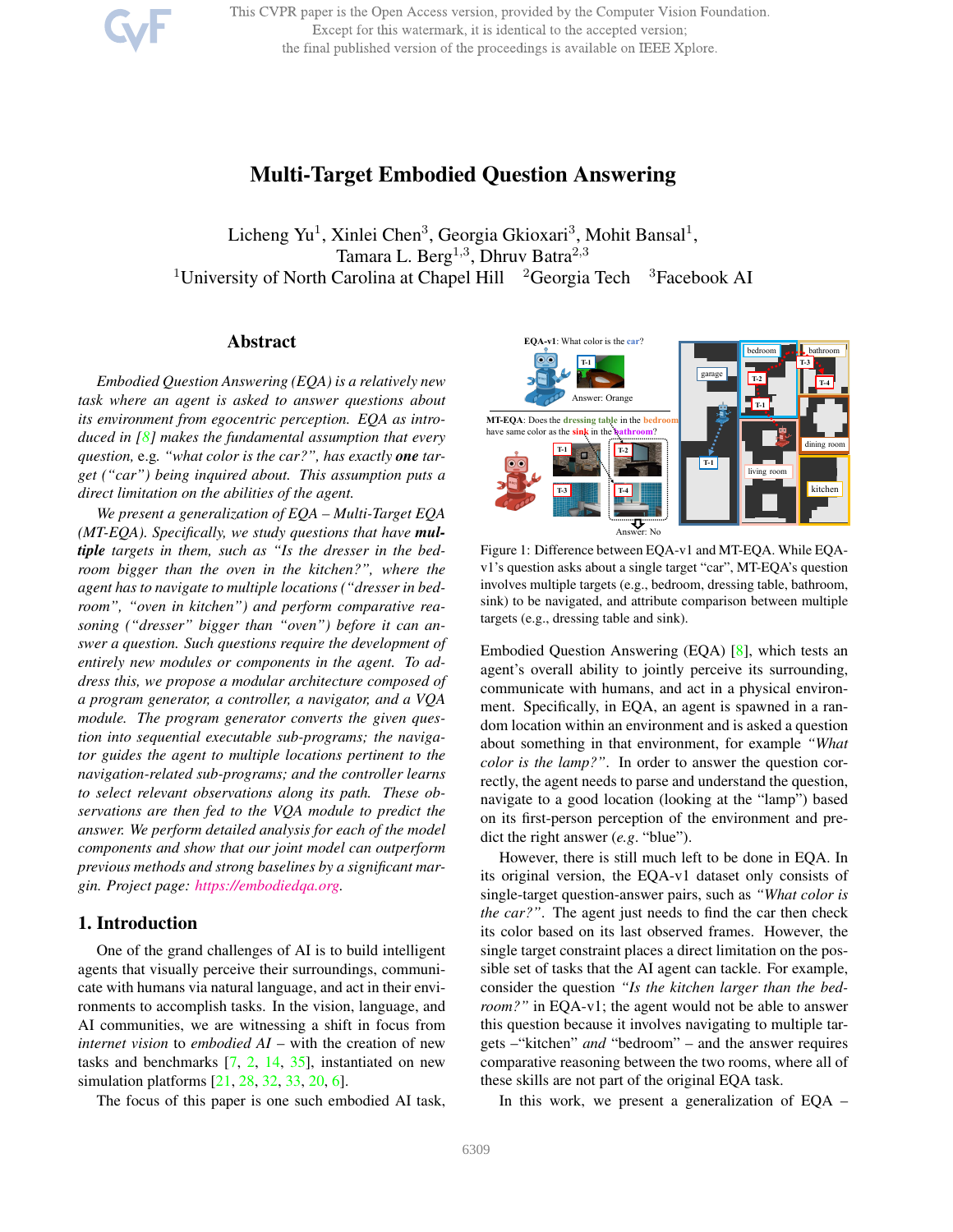This CVPR paper is the Open Access version, provided by the Computer Vision Foundation. Except for this watermark, it is identical to the accepted version; the final published version of the proceedings is available on IEEE Xplore.



# Multi-Target Embodied Question Answering

Licheng Yu<sup>1</sup>, Xinlei Chen<sup>3</sup>, Georgia Gkioxari<sup>3</sup>, Mohit Bansal<sup>1</sup>, Tamara L. Berg<sup>1,3</sup>, Dhruv Batra<sup>2,3</sup> <sup>1</sup>University of North Carolina at Chapel Hill  $2G$ eorgia Tech  $3F$ acebook AI

# Abstract

*Embodied Question Answering (EQA) is a relatively new task where an agent is asked to answer questions about its environment from egocentric perception. EQA as introduced in [8] makes the fundamental assumption that every question,* e.g*. "what color is the car?", has exactly one target ("car") being inquired about. This assumption puts a direct limitation on the abilities of the agent.*

*We present a generalization of EQA – Multi-Target EQA (MT-EQA). Specifically, we study questions that have multiple targets in them, such as "Is the dresser in the bedroom bigger than the oven in the kitchen?", where the agent has to navigate to multiple locations ("dresser in bedroom", "oven in kitchen") and perform comparative reasoning ("dresser" bigger than "oven") before it can answer a question. Such questions require the development of entirely new modules or components in the agent. To address this, we propose a modular architecture composed of a program generator, a controller, a navigator, and a VQA module. The program generator converts the given question into sequential executable sub-programs; the navigator guides the agent to multiple locations pertinent to the navigation-related sub-programs; and the controller learns to select relevant observations along its path. These observations are then fed to the VQA module to predict the answer. We perform detailed analysis for each of the model components and show that our joint model can outperform previous methods and strong baselines by a significant margin. Project page: https://embodiedqa.org.*

# 1. Introduction

One of the grand challenges of AI is to build intelligent agents that visually perceive their surroundings, communicate with humans via natural language, and act in their environments to accomplish tasks. In the vision, language, and AI communities, we are witnessing a shift in focus from *internet vision* to *embodied AI* – with the creation of new tasks and benchmarks [7, 2, 14, 35], instantiated on new simulation platforms [21, 28, 32, 33, 20, 6].

The focus of this paper is one such embodied AI task,



Figure 1: Difference between EQA-v1 and MT-EQA. While EQAv1's question asks about a single target "car", MT-EQA's question involves multiple targets (e.g., bedroom, dressing table, bathroom, sink) to be navigated, and attribute comparison between multiple targets (e.g., dressing table and sink).

Embodied Question Answering (EQA) [8], which tests an agent's overall ability to jointly perceive its surrounding, communicate with humans, and act in a physical environment. Specifically, in EQA, an agent is spawned in a random location within an environment and is asked a question about something in that environment, for example *"What color is the lamp?"*. In order to answer the question correctly, the agent needs to parse and understand the question, navigate to a good location (looking at the "lamp") based on its first-person perception of the environment and predict the right answer (*e.g*. "blue").

However, there is still much left to be done in EQA. In its original version, the EQA-v1 dataset only consists of single-target question-answer pairs, such as *"What color is the car?"*. The agent just needs to find the car then check its color based on its last observed frames. However, the single target constraint places a direct limitation on the possible set of tasks that the AI agent can tackle. For example, consider the question *"Is the kitchen larger than the bedroom?"* in EQA-v1; the agent would not be able to answer this question because it involves navigating to multiple targets –"kitchen" *and* "bedroom" – and the answer requires comparative reasoning between the two rooms, where all of these skills are not part of the original EQA task.

In this work, we present a generalization of EQA –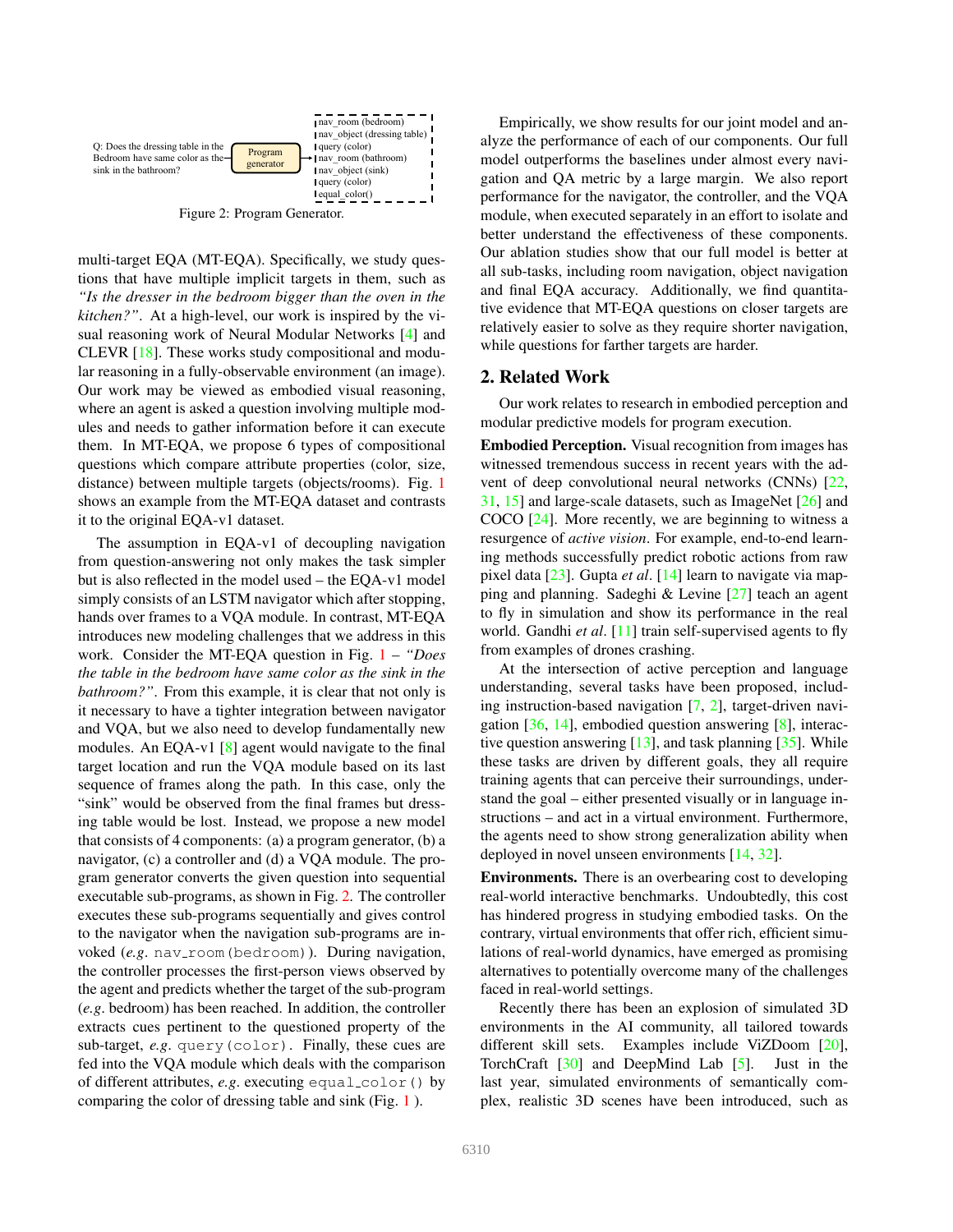

multi-target EQA (MT-EQA). Specifically, we study questions that have multiple implicit targets in them, such as *"Is the dresser in the bedroom bigger than the oven in the kitchen?"*. At a high-level, our work is inspired by the visual reasoning work of Neural Modular Networks [4] and CLEVR [18]. These works study compositional and modular reasoning in a fully-observable environment (an image). Our work may be viewed as embodied visual reasoning, where an agent is asked a question involving multiple modules and needs to gather information before it can execute them. In MT-EQA, we propose 6 types of compositional questions which compare attribute properties (color, size, distance) between multiple targets (objects/rooms). Fig. 1 shows an example from the MT-EQA dataset and contrasts it to the original EQA-v1 dataset.

The assumption in EQA-v1 of decoupling navigation from question-answering not only makes the task simpler but is also reflected in the model used – the EQA-v1 model simply consists of an LSTM navigator which after stopping, hands over frames to a VQA module. In contrast, MT-EQA introduces new modeling challenges that we address in this work. Consider the MT-EQA question in Fig. 1 – *"Does the table in the bedroom have same color as the sink in the bathroom?"*. From this example, it is clear that not only is it necessary to have a tighter integration between navigator and VQA, but we also need to develop fundamentally new modules. An EQA-v1 [8] agent would navigate to the final target location and run the VQA module based on its last sequence of frames along the path. In this case, only the "sink" would be observed from the final frames but dressing table would be lost. Instead, we propose a new model that consists of 4 components: (a) a program generator, (b) a navigator, (c) a controller and (d) a VQA module. The program generator converts the given question into sequential executable sub-programs, as shown in Fig. 2. The controller executes these sub-programs sequentially and gives control to the navigator when the navigation sub-programs are invoked (*e.g.* nav\_room(bedroom)). During navigation, the controller processes the first-person views observed by the agent and predicts whether the target of the sub-program (*e.g*. bedroom) has been reached. In addition, the controller extracts cues pertinent to the questioned property of the sub-target, *e.g*. query(color). Finally, these cues are fed into the VQA module which deals with the comparison of different attributes, *e.g*. executing equal color() by comparing the color of dressing table and sink (Fig. 1 ).

Empirically, we show results for our joint model and analyze the performance of each of our components. Our full model outperforms the baselines under almost every navigation and QA metric by a large margin. We also report performance for the navigator, the controller, and the VQA module, when executed separately in an effort to isolate and better understand the effectiveness of these components. Our ablation studies show that our full model is better at all sub-tasks, including room navigation, object navigation and final EQA accuracy. Additionally, we find quantitative evidence that MT-EQA questions on closer targets are relatively easier to solve as they require shorter navigation, while questions for farther targets are harder.

### 2. Related Work

Our work relates to research in embodied perception and modular predictive models for program execution.

Embodied Perception. Visual recognition from images has witnessed tremendous success in recent years with the advent of deep convolutional neural networks (CNNs) [22, 31, 15] and large-scale datasets, such as ImageNet [26] and COCO [24]. More recently, we are beginning to witness a resurgence of *active vision*. For example, end-to-end learning methods successfully predict robotic actions from raw pixel data [23]. Gupta *et al*. [14] learn to navigate via mapping and planning. Sadeghi & Levine [27] teach an agent to fly in simulation and show its performance in the real world. Gandhi *et al*. [11] train self-supervised agents to fly from examples of drones crashing.

At the intersection of active perception and language understanding, several tasks have been proposed, including instruction-based navigation [7, 2], target-driven navigation [36, 14], embodied question answering [8], interactive question answering  $[13]$ , and task planning  $[35]$ . While these tasks are driven by different goals, they all require training agents that can perceive their surroundings, understand the goal – either presented visually or in language instructions – and act in a virtual environment. Furthermore, the agents need to show strong generalization ability when deployed in novel unseen environments [14, 32].

Environments. There is an overbearing cost to developing real-world interactive benchmarks. Undoubtedly, this cost has hindered progress in studying embodied tasks. On the contrary, virtual environments that offer rich, efficient simulations of real-world dynamics, have emerged as promising alternatives to potentially overcome many of the challenges faced in real-world settings.

Recently there has been an explosion of simulated 3D environments in the AI community, all tailored towards different skill sets. Examples include ViZDoom [20], TorchCraft [30] and DeepMind Lab [5]. Just in the last year, simulated environments of semantically complex, realistic 3D scenes have been introduced, such as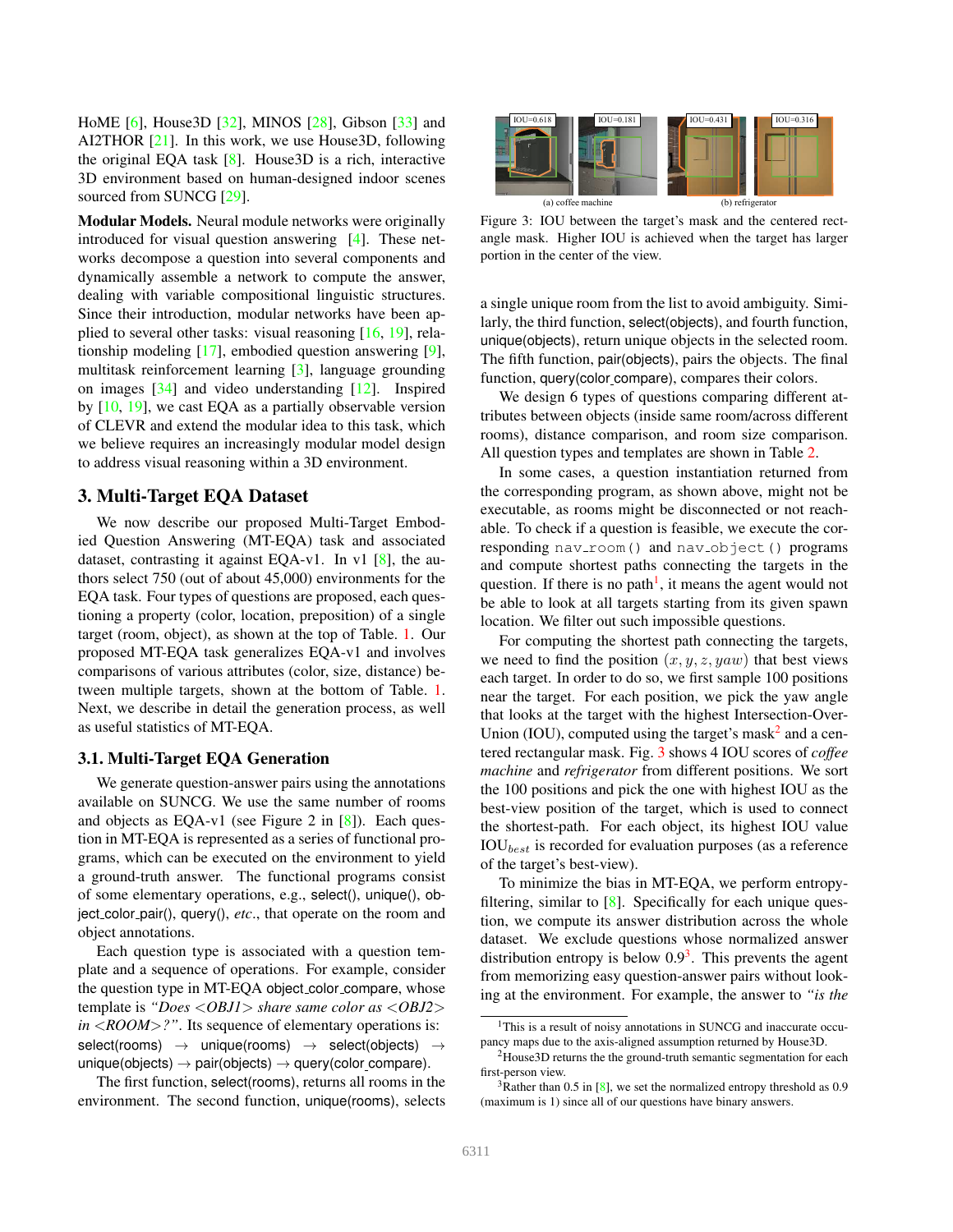HoME [6], House3D [32], MINOS [28], Gibson [33] and AI2THOR [21]. In this work, we use House3D, following the original EQA task [8]. House3D is a rich, interactive 3D environment based on human-designed indoor scenes sourced from SUNCG [29].

Modular Models. Neural module networks were originally introduced for visual question answering [4]. These networks decompose a question into several components and dynamically assemble a network to compute the answer, dealing with variable compositional linguistic structures. Since their introduction, modular networks have been applied to several other tasks: visual reasoning [16, 19], relationship modeling [17], embodied question answering [9], multitask reinforcement learning [3], language grounding on images [34] and video understanding [12]. Inspired by [10, 19], we cast EQA as a partially observable version of CLEVR and extend the modular idea to this task, which we believe requires an increasingly modular model design to address visual reasoning within a 3D environment.

# 3. Multi-Target EQA Dataset

We now describe our proposed Multi-Target Embodied Question Answering (MT-EQA) task and associated dataset, contrasting it against EQA-v1. In v1 [8], the authors select 750 (out of about 45,000) environments for the EQA task. Four types of questions are proposed, each questioning a property (color, location, preposition) of a single target (room, object), as shown at the top of Table. 1. Our proposed MT-EQA task generalizes EQA-v1 and involves comparisons of various attributes (color, size, distance) between multiple targets, shown at the bottom of Table. 1. Next, we describe in detail the generation process, as well as useful statistics of MT-EQA.

#### 3.1. Multi-Target EQA Generation

We generate question-answer pairs using the annotations available on SUNCG. We use the same number of rooms and objects as EQA-v1 (see Figure 2 in [8]). Each question in MT-EQA is represented as a series of functional programs, which can be executed on the environment to yield a ground-truth answer. The functional programs consist of some elementary operations, e.g., select(), unique(), object color pair(), query(), *etc*., that operate on the room and object annotations.

Each question type is associated with a question template and a sequence of operations. For example, consider the question type in MT-EQA object color compare, whose template is *"Does* <*OBJ1*> *share same color as* <*OBJ2*> *in* <*ROOM*>*?"*. Its sequence of elementary operations is: select(rooms)  $\rightarrow$  unique(rooms)  $\rightarrow$  select(objects)  $\rightarrow$ unique(objects)  $\rightarrow$  pair(objects)  $\rightarrow$  query(color compare).

The first function, select(rooms), returns all rooms in the environment. The second function, unique(rooms), selects



Figure 3: IOU between the target's mask and the centered rectangle mask. Higher IOU is achieved when the target has larger portion in the center of the view.

a single unique room from the list to avoid ambiguity. Similarly, the third function, select(objects), and fourth function, unique(objects), return unique objects in the selected room. The fifth function, pair(objects), pairs the objects. The final function, query(color compare), compares their colors.

We design 6 types of questions comparing different attributes between objects (inside same room/across different rooms), distance comparison, and room size comparison. All question types and templates are shown in Table 2.

In some cases, a question instantiation returned from the corresponding program, as shown above, might not be executable, as rooms might be disconnected or not reachable. To check if a question is feasible, we execute the corresponding nav\_room() and nav\_object() programs and compute shortest paths connecting the targets in the question. If there is no path<sup>1</sup>, it means the agent would not be able to look at all targets starting from its given spawn location. We filter out such impossible questions.

For computing the shortest path connecting the targets, we need to find the position  $(x, y, z, yaw)$  that best views each target. In order to do so, we first sample 100 positions near the target. For each position, we pick the yaw angle that looks at the target with the highest Intersection-Over-Union (IOU), computed using the target's mask $^2$  and a centered rectangular mask. Fig. 3 shows 4 IOU scores of *coffee machine* and *refrigerator* from different positions. We sort the 100 positions and pick the one with highest IOU as the best-view position of the target, which is used to connect the shortest-path. For each object, its highest IOU value  $IOU_{best}$  is recorded for evaluation purposes (as a reference of the target's best-view).

To minimize the bias in MT-EQA, we perform entropyfiltering, similar to  $[8]$ . Specifically for each unique question, we compute its answer distribution across the whole dataset. We exclude questions whose normalized answer distribution entropy is below  $0.9<sup>3</sup>$ . This prevents the agent from memorizing easy question-answer pairs without looking at the environment. For example, the answer to *"is the*

<sup>&</sup>lt;sup>1</sup>This is a result of noisy annotations in SUNCG and inaccurate occupancy maps due to the axis-aligned assumption returned by House3D.

<sup>2</sup>House3D returns the the ground-truth semantic segmentation for each first-person view.

 $3R$ ather than 0.5 in [8], we set the normalized entropy threshold as 0.9 (maximum is 1) since all of our questions have binary answers.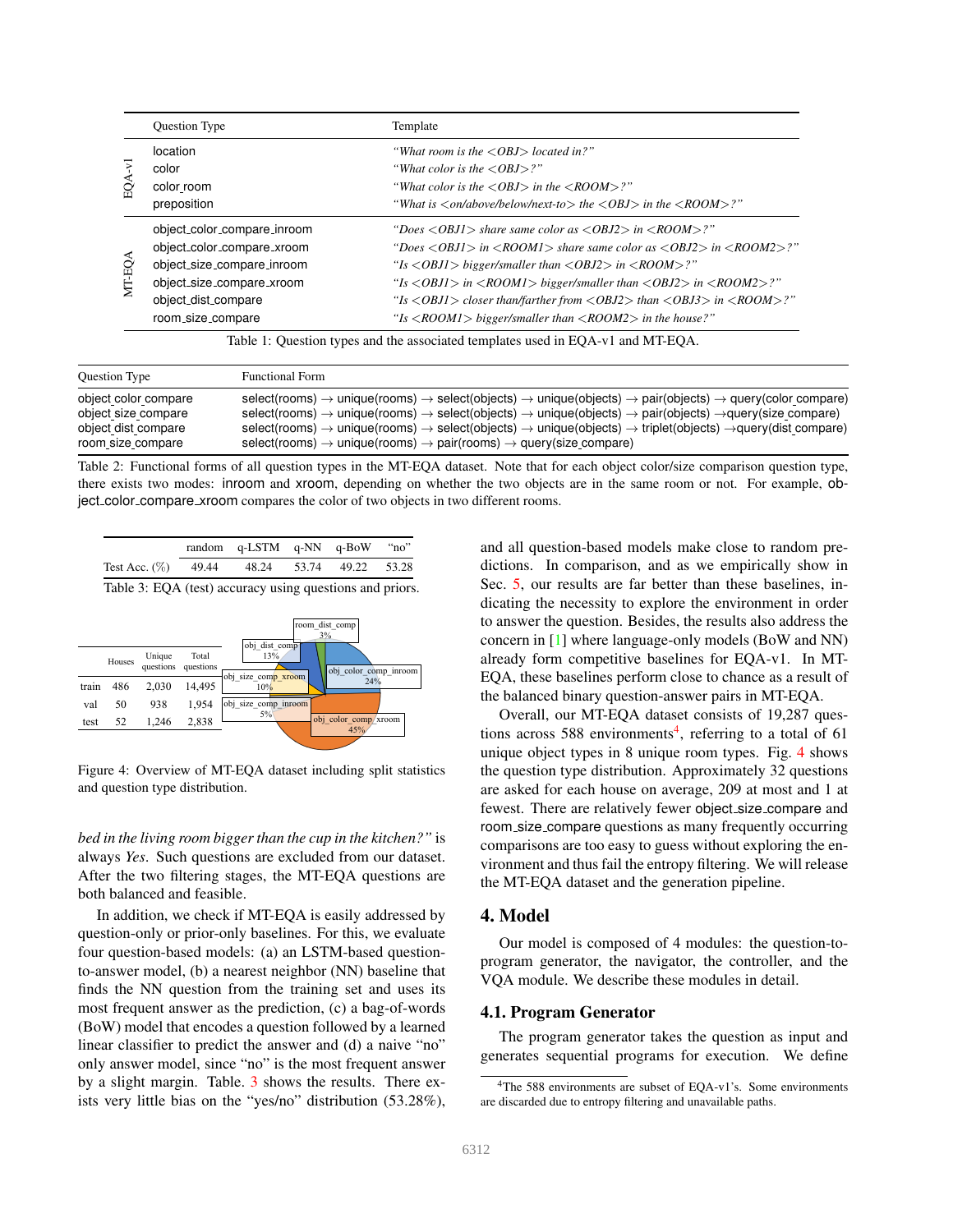|                                                                                 | Question Type               | Template                                                                                                                         |  |  |  |  |
|---------------------------------------------------------------------------------|-----------------------------|----------------------------------------------------------------------------------------------------------------------------------|--|--|--|--|
| S)                                                                              | location                    | "What room is the $\langle OBJ \rangle$ located in?"                                                                             |  |  |  |  |
|                                                                                 | color                       | "What color is the $\langle OBJ \rangle$ ?"                                                                                      |  |  |  |  |
|                                                                                 | color room                  | "What color is the $\langle OBJ \rangle$ in the $\langle ROOM \rangle$ ?"                                                        |  |  |  |  |
|                                                                                 | preposition                 | "What is $\langle on/above/below/next-to \rangle$ the $\langle OBJ \rangle$ in the $\langle ROOM \rangle$ ."                     |  |  |  |  |
|                                                                                 | object_color_compare_inroom | "Does $\langle OBJI \rangle$ share same color as $\langle OBJ2 \rangle$ in $\langle ROOM \rangle$ ?"                             |  |  |  |  |
|                                                                                 | object_color_compare_xroom  | "Does $\langle OBJI \rangle$ in $\langle ROOM1 \rangle$ share same color as $\langle OBJ2 \rangle$ in $\langle ROOM2 \rangle$ ?" |  |  |  |  |
|                                                                                 | object_size_compare_inroom  | "Is $\langle$ OBJ1 $\rangle$ bigger/smaller than $\langle$ OBJ2 $\rangle$ in $\langle$ ROOM $\rangle$ ?"                         |  |  |  |  |
| MT-EO <sub>4</sub>                                                              | object_size_compare_xroom   | "Is $\langle OBJ1 \rangle$ in $\langle ROOMI \rangle$ bigger/smaller than $\langle OBJ2 \rangle$ in $\langle ROOM2 \rangle$ ?"   |  |  |  |  |
|                                                                                 | object_dist_compare         | "Is $\langle OBJ1\rangle$ closer than/farther from $\langle OBJ2\rangle$ than $\langle OBJ3\rangle$ in $\langle ROOM\rangle$ ?"  |  |  |  |  |
|                                                                                 | room_size_compare           | "Is $\langle ROOMI \rangle$ bigger/smaller than $\langle ROOM2 \rangle$ in the house?"                                           |  |  |  |  |
| Table 1: Question types and the associated templates used in EQA-v1 and MT-EQA. |                             |                                                                                                                                  |  |  |  |  |

| <b>Ouestion Type</b> | <b>Functional Form</b>                                                                                                                                                 |
|----------------------|------------------------------------------------------------------------------------------------------------------------------------------------------------------------|
| object color compare | select(rooms) $\rightarrow$ unique(rooms) $\rightarrow$ select(objects) $\rightarrow$ unique(objects) $\rightarrow$ pair(objects) $\rightarrow$ query(color compare)   |
| object size compare  | select(rooms) $\rightarrow$ unique(rooms) $\rightarrow$ select(objects) $\rightarrow$ unique(objects) $\rightarrow$ pair(objects) $\rightarrow$ query(size compare)    |
| object dist compare  | select(rooms) $\rightarrow$ unique(rooms) $\rightarrow$ select(objects) $\rightarrow$ unique(objects) $\rightarrow$ triplet(objects) $\rightarrow$ query(dist compare) |
| room size compare    | select(rooms) $\rightarrow$ unique(rooms) $\rightarrow$ pair(rooms) $\rightarrow$ query(size compare)                                                                  |

Table 2: Functional forms of all question types in the MT-EQA dataset. Note that for each object color/size comparison question type, there exists two modes: inroom and xroom, depending on whether the two objects are in the same room or not. For example, object color compare xroom compares the color of two objects in two different rooms.

|                                             | random q-LSTM q-NN q-BoW "no" |  |  |
|---------------------------------------------|-------------------------------|--|--|
| Test Acc. (%) 49.44 48.24 53.74 49.22 53.28 |                               |  |  |
| $-11$ $-12$                                 |                               |  |  |

Table 3: EQA (test) accuracy using questions and priors.



Figure 4: Overview of MT-EQA dataset including split statistics and question type distribution.

*bed in the living room bigger than the cup in the kitchen?"* is always *Yes*. Such questions are excluded from our dataset. After the two filtering stages, the MT-EQA questions are both balanced and feasible.

In addition, we check if MT-EQA is easily addressed by question-only or prior-only baselines. For this, we evaluate four question-based models: (a) an LSTM-based questionto-answer model, (b) a nearest neighbor (NN) baseline that finds the NN question from the training set and uses its most frequent answer as the prediction, (c) a bag-of-words (BoW) model that encodes a question followed by a learned linear classifier to predict the answer and (d) a naive "no" only answer model, since "no" is the most frequent answer by a slight margin. Table. 3 shows the results. There exists very little bias on the "yes/no" distribution (53.28%), and all question-based models make close to random predictions. In comparison, and as we empirically show in Sec. 5, our results are far better than these baselines, indicating the necessity to explore the environment in order to answer the question. Besides, the results also address the concern in [1] where language-only models (BoW and NN) already form competitive baselines for EQA-v1. In MT-EQA, these baselines perform close to chance as a result of the balanced binary question-answer pairs in MT-EQA.

Overall, our MT-EQA dataset consists of 19,287 questions across 588 environments<sup>4</sup>, referring to a total of 61 unique object types in 8 unique room types. Fig. 4 shows the question type distribution. Approximately 32 questions are asked for each house on average, 209 at most and 1 at fewest. There are relatively fewer object size compare and room size compare questions as many frequently occurring comparisons are too easy to guess without exploring the environment and thus fail the entropy filtering. We will release the MT-EQA dataset and the generation pipeline.

### 4. Model

Our model is composed of 4 modules: the question-toprogram generator, the navigator, the controller, and the VQA module. We describe these modules in detail.

#### 4.1. Program Generator

The program generator takes the question as input and generates sequential programs for execution. We define

<sup>4</sup>The 588 environments are subset of EQA-v1's. Some environments are discarded due to entropy filtering and unavailable paths.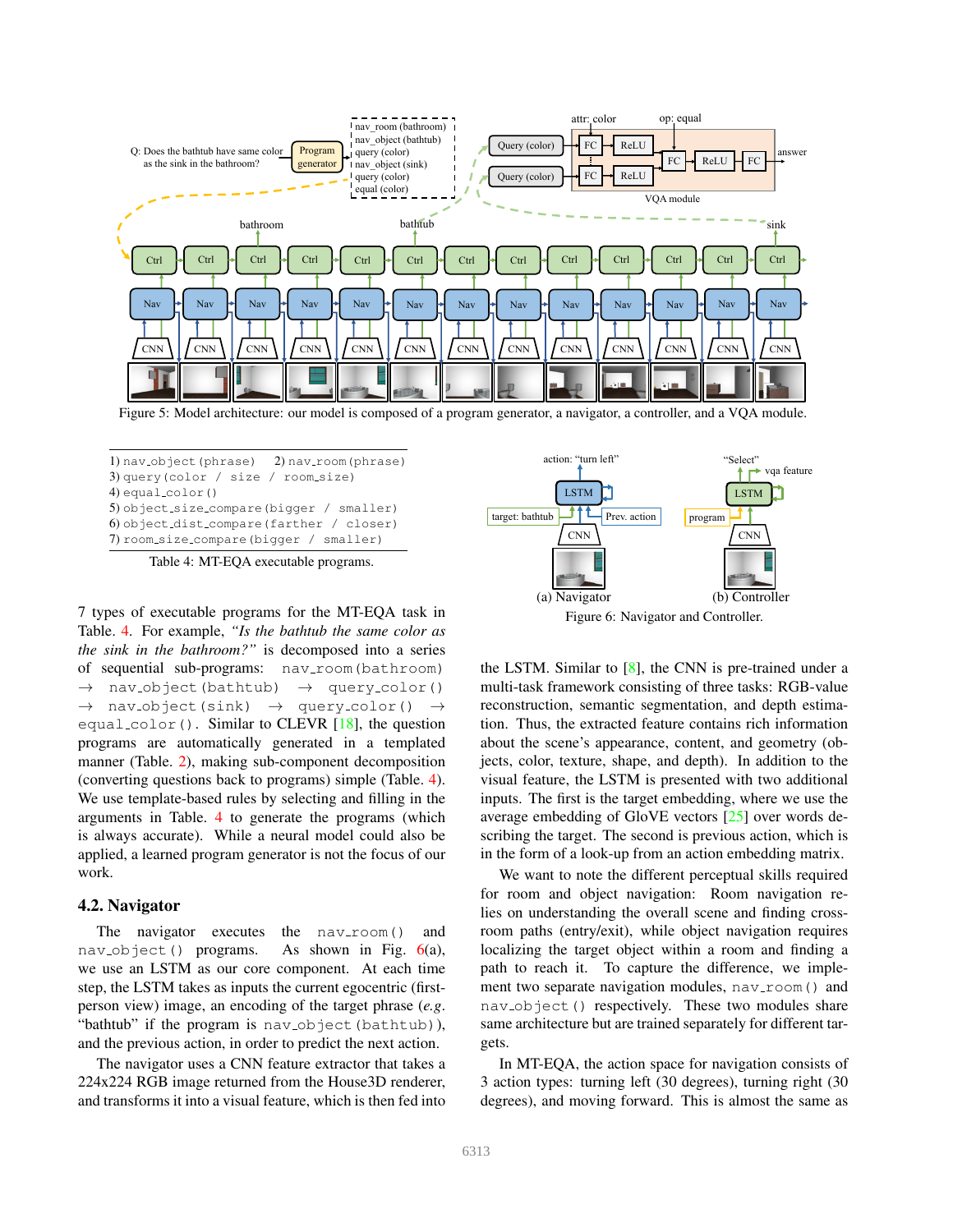

Figure 5: Model architecture: our model is composed of a program generator, a navigator, a controller, and a VQA module.

1) nav<sub>-object</sub>(phrase) 2) nav-room(phrase) 3) query(color / size / room size) 4) equal color() 5) object size compare(bigger / smaller) 6) object dist compare(farther / closer) 7) room size compare(bigger / smaller)

Table 4: MT-EQA executable programs.

7 types of executable programs for the MT-EQA task in Table. 4. For example, *"Is the bathtub the same color as the sink in the bathroom?"* is decomposed into a series of sequential sub-programs: nav\_room(bathroom)  $\rightarrow$  nav-object(bathtub)  $\rightarrow$  query-color()  $\rightarrow$  nav-object(sink)  $\rightarrow$  query-color() equal\_color(). Similar to CLEVR [18], the question programs are automatically generated in a templated manner (Table. 2), making sub-component decomposition (converting questions back to programs) simple (Table. 4). We use template-based rules by selecting and filling in the arguments in Table. 4 to generate the programs (which is always accurate). While a neural model could also be applied, a learned program generator is not the focus of our work.

#### 4.2. Navigator

The navigator executes the  $nav\_room()$  and nav<sub>-Object</sub>() programs. As shown in Fig. 6(a), we use an LSTM as our core component. At each time step, the LSTM takes as inputs the current egocentric (firstperson view) image, an encoding of the target phrase (*e.g*. "bathtub" if the program is nav-object (bathtub)), and the previous action, in order to predict the next action.

The navigator uses a CNN feature extractor that takes a 224x224 RGB image returned from the House3D renderer, and transforms it into a visual feature, which is then fed into



the LSTM. Similar to  $[8]$ , the CNN is pre-trained under a multi-task framework consisting of three tasks: RGB-value reconstruction, semantic segmentation, and depth estimation. Thus, the extracted feature contains rich information about the scene's appearance, content, and geometry (objects, color, texture, shape, and depth). In addition to the visual feature, the LSTM is presented with two additional inputs. The first is the target embedding, where we use the average embedding of GloVE vectors [25] over words describing the target. The second is previous action, which is in the form of a look-up from an action embedding matrix.

We want to note the different perceptual skills required for room and object navigation: Room navigation relies on understanding the overall scene and finding crossroom paths (entry/exit), while object navigation requires localizing the target object within a room and finding a path to reach it. To capture the difference, we implement two separate navigation modules,  $nav\_room()$  and nav<sub>-object</sub>() respectively. These two modules share same architecture but are trained separately for different targets.

In MT-EQA, the action space for navigation consists of 3 action types: turning left (30 degrees), turning right (30 degrees), and moving forward. This is almost the same as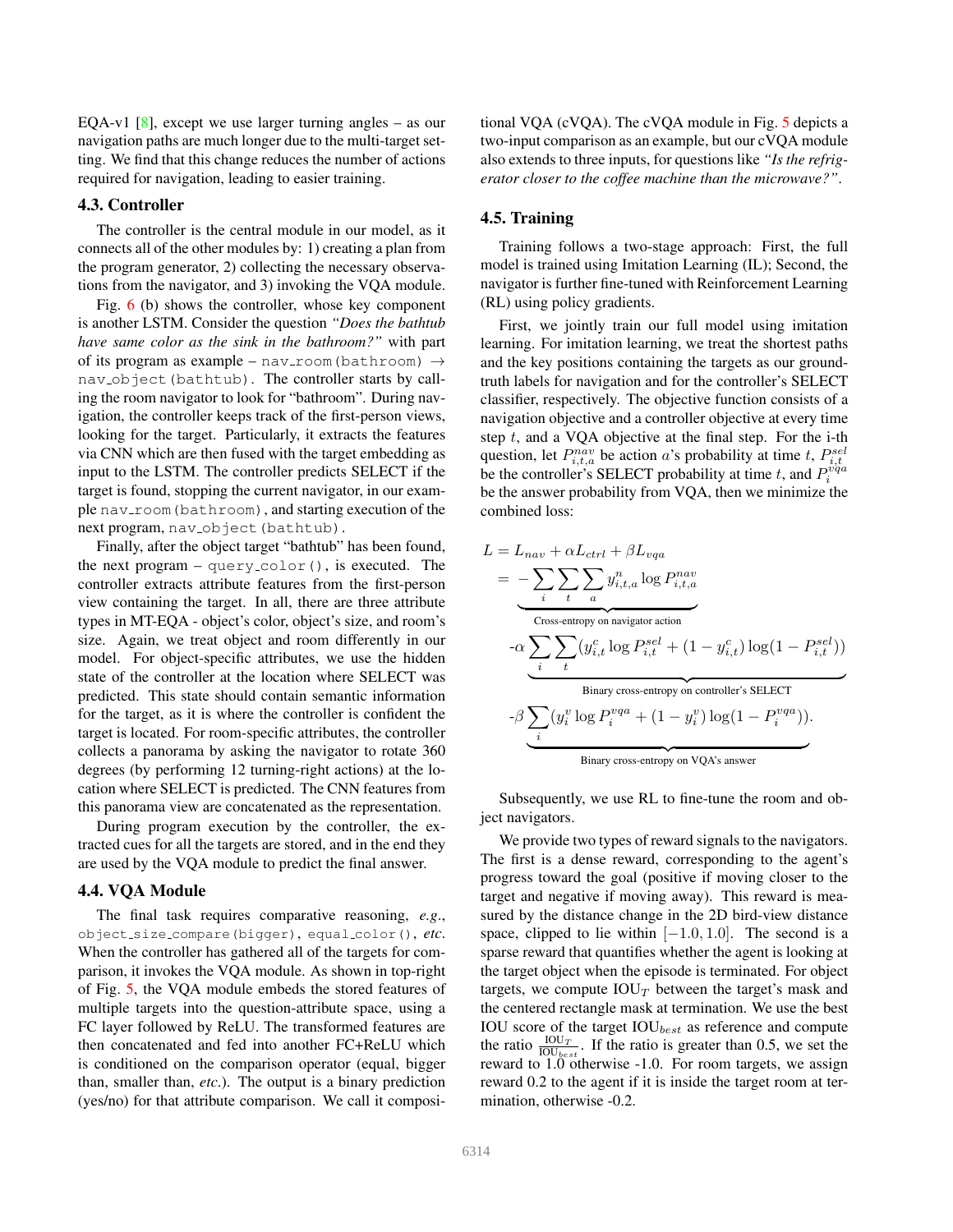EQA-v1 [8], except we use larger turning angles – as our navigation paths are much longer due to the multi-target setting. We find that this change reduces the number of actions required for navigation, leading to easier training.

### 4.3. Controller

The controller is the central module in our model, as it connects all of the other modules by: 1) creating a plan from the program generator, 2) collecting the necessary observations from the navigator, and 3) invoking the VQA module.

Fig. 6 (b) shows the controller, whose key component is another LSTM. Consider the question *"Does the bathtub have same color as the sink in the bathroom?"* with part of its program as example – nav-room(bathroom)  $\rightarrow$ nav\_object(bathtub). The controller starts by calling the room navigator to look for "bathroom". During navigation, the controller keeps track of the first-person views, looking for the target. Particularly, it extracts the features via CNN which are then fused with the target embedding as input to the LSTM. The controller predicts SELECT if the target is found, stopping the current navigator, in our example nav-room (bathroom), and starting execution of the next program, nav\_object (bathtub).

Finally, after the object target "bathtub" has been found, the next program  $-$  query color(), is executed. The controller extracts attribute features from the first-person view containing the target. In all, there are three attribute types in MT-EQA - object's color, object's size, and room's size. Again, we treat object and room differently in our model. For object-specific attributes, we use the hidden state of the controller at the location where SELECT was predicted. This state should contain semantic information for the target, as it is where the controller is confident the target is located. For room-specific attributes, the controller collects a panorama by asking the navigator to rotate 360 degrees (by performing 12 turning-right actions) at the location where SELECT is predicted. The CNN features from this panorama view are concatenated as the representation.

During program execution by the controller, the extracted cues for all the targets are stored, and in the end they are used by the VQA module to predict the final answer.

### 4.4. VQA Module

The final task requires comparative reasoning, *e.g*., object size compare(bigger), equal color(), *etc*. When the controller has gathered all of the targets for comparison, it invokes the VQA module. As shown in top-right of Fig. 5, the VQA module embeds the stored features of multiple targets into the question-attribute space, using a FC layer followed by ReLU. The transformed features are then concatenated and fed into another FC+ReLU which is conditioned on the comparison operator (equal, bigger than, smaller than, *etc*.). The output is a binary prediction (yes/no) for that attribute comparison. We call it compositional VQA (cVQA). The cVQA module in Fig. 5 depicts a two-input comparison as an example, but our cVQA module also extends to three inputs, for questions like *"Is the refrigerator closer to the coffee machine than the microwave?"*.

### 4.5. Training

Training follows a two-stage approach: First, the full model is trained using Imitation Learning (IL); Second, the navigator is further fine-tuned with Reinforcement Learning (RL) using policy gradients.

First, we jointly train our full model using imitation learning. For imitation learning, we treat the shortest paths and the key positions containing the targets as our groundtruth labels for navigation and for the controller's SELECT classifier, respectively. The objective function consists of a navigation objective and a controller objective at every time step  $t$ , and a VQA objective at the final step. For the i-th question, let  $P_{i,t,a}^{nav}$  be action a's probability at time t,  $P_{i,t}^{sel}$ be the controller's SELECT probability at time t, and  $P_i^{\hat{v}q_a}$ be the answer probability from VQA, then we minimize the combined loss:

$$
L = L_{nav} + \alpha L_{ctrl} + \beta L_{vqa}
$$
  
= 
$$
- \sum_{i} \sum_{t} \sum_{a} y_{i,t,a}^{n} \log P_{i,t,a}^{nav}
$$
  
Cross-entropy on navigation action  

$$
- \alpha \sum_{i} \sum_{t} (y_{i,t}^{c} \log P_{i,t}^{sel} + (1 - y_{i,t}^{c}) \log(1 - P_{i,t}^{sel}))
$$
  
Binary cross-entropy on controller's SELECT  

$$
- \beta \sum_{i} (y_{i}^{v} \log P_{i}^{vqa} + (1 - y_{i}^{v}) \log(1 - P_{i}^{vqa})).
$$
  
Binary cross-entropy on VQA's answer

Subsequently, we use RL to fine-tune the room and object navigators.

We provide two types of reward signals to the navigators. The first is a dense reward, corresponding to the agent's progress toward the goal (positive if moving closer to the target and negative if moving away). This reward is measured by the distance change in the 2D bird-view distance space, clipped to lie within  $[-1.0, 1.0]$ . The second is a sparse reward that quantifies whether the agent is looking at the target object when the episode is terminated. For object targets, we compute  $IOU_T$  between the target's mask and the centered rectangle mask at termination. We use the best IOU score of the target  $IOU_{best}$  as reference and compute the ratio  $\frac{IOU_T}{IOU_{best}}$ . If the ratio is greater than 0.5, we set the reward to 1.0 otherwise -1.0. For room targets, we assign reward 0.2 to the agent if it is inside the target room at termination, otherwise -0.2.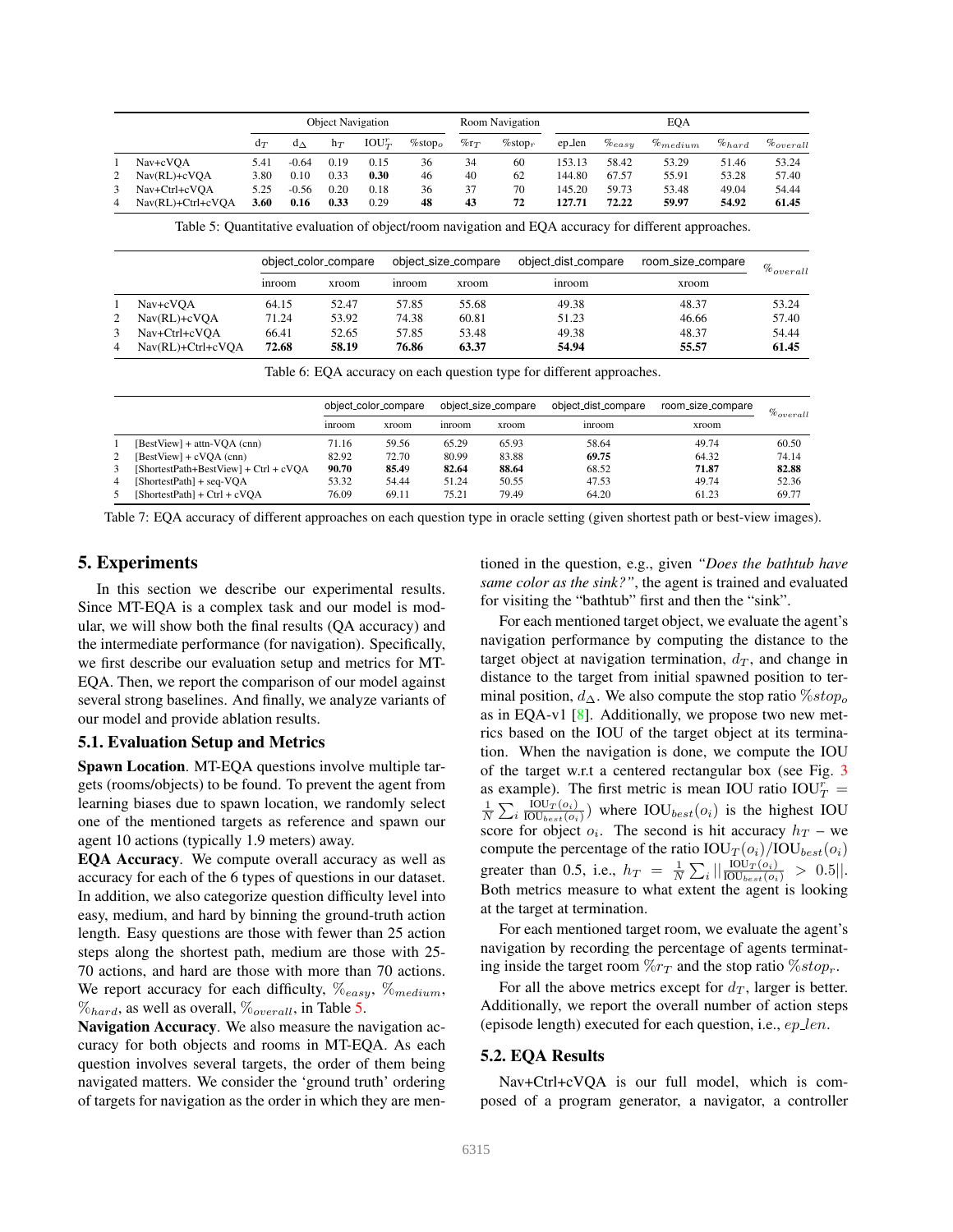|   |                   | <b>Object Navigation</b> |              |       |           | <b>Room Navigation</b>              |         |                |                     | EQA         |                   |             |                |
|---|-------------------|--------------------------|--------------|-------|-----------|-------------------------------------|---------|----------------|---------------------|-------------|-------------------|-------------|----------------|
|   |                   | $d_T$                    | $d_{\Delta}$ | $h_T$ | $IOU_T^r$ | $\%$ stop $_{\scriptscriptstyle O}$ | $\%r_T$ | $\%$ stop $_r$ | ep_len              | $\%_{easy}$ | $\%_{medium}$     | $\%_{hard}$ | $\%_{overall}$ |
| 1 | Nav+cVOA          | 5.41                     | $-0.64$      | 0.19  | 0.15      | 36                                  | 34      | 60             | 153.13              | 58.42       | 53.29             | 51.46       | 53.24          |
| 2 | Nav(RL)+cVOA      | 3.80                     | 0.10         | 0.33  | 0.30      | 46                                  | 40      | 62             | 144.80              | 67.57       | 55.91             | 53.28       | 57.40          |
| 3 | Nav+Ctrl+cVOA     | 5.25                     | $-0.56$      | 0.20  | 0.18      | 36                                  | 37      | 70             | 145.20              | 59.73       | 53.48             | 49.04       | 54.44          |
| 4 | Nav(RL)+Ctrl+cVQA | 3.60                     | 0.16         | 0.33  | 0.29      | 48                                  | 43      | 72             | 127.71              | 72.22       | 59.97             | 54.92       | 61.45          |
|   |                   | object_color_compare     |              |       |           |                                     |         |                |                     |             |                   |             |                |
|   |                   |                          |              |       |           |                                     |         |                |                     |             |                   |             |                |
|   |                   |                          |              |       |           | object_size_compare                 |         |                | object_dist_compare |             | room_size_compare |             | $\%_{overall}$ |
|   |                   | inroom                   |              | xroom |           | inroom                              | xroom   |                | inroom              |             | xroom             |             |                |
|   | Nav+cVOA          | 64.15                    |              | 52.47 |           | 57.85                               | 55.68   |                | 49.38               |             | 48.37             |             | 53.24          |
| 2 | $Nav(RL)+cVOA$    | 71.24                    |              | 53.92 |           | 74.38                               | 60.81   |                | 51.23               |             | 46.66             |             | 57.40          |
| 3 | Nav+Ctrl+cVOA     | 66.41                    |              | 52.65 |           | 57.85                               | 53.48   |                | 49.38               |             | 48.37             |             | 54.44          |

Table 6: EQA accuracy on each question type for different approaches.

|    |                                       | object_color_compare |       | object_size_compare |              | object_dist_compare | room_size_compare | $\%$ <sub>overall</sub> |
|----|---------------------------------------|----------------------|-------|---------------------|--------------|---------------------|-------------------|-------------------------|
|    |                                       | inroom               | xroom | inroom              | <b>xroom</b> | inroom              | xroom             |                         |
|    | [BestView] + attn-VOA (cnn)           | 71.16                | 59.56 | 65.29               | 65.93        | 58.64               | 49.74             | 60.50                   |
| 2  | [BestView] + cVQA (cnn)               | 82.92                | 72.70 | 80.99               | 83.88        | 69.75               | 64.32             | 74.14                   |
| 3  | [ShortestPath+BestView] + Ctrl + cVOA | 90.70                | 85.49 | 82.64               | 88.64        | 68.52               | 71.87             | 82.88                   |
| 4  | [ShortestPath] + seq-VOA              | 53.32                | 54.44 | 51.24               | 50.55        | 47.53               | 49.74             | 52.36                   |
| .5 | $[ShortestPath] + CtrI + cVOA$        | 76.09                | 69.11 | 75.21               | 79.49        | 64.20               | 61.23             | 69.77                   |

Table 7: EQA accuracy of different approaches on each question type in oracle setting (given shortest path or best-view images).

### 5. Experiments

In this section we describe our experimental results. Since MT-EQA is a complex task and our model is modular, we will show both the final results (QA accuracy) and the intermediate performance (for navigation). Specifically, we first describe our evaluation setup and metrics for MT-EQA. Then, we report the comparison of our model against several strong baselines. And finally, we analyze variants of our model and provide ablation results.

### 5.1. Evaluation Setup and Metrics

Spawn Location. MT-EQA questions involve multiple targets (rooms/objects) to be found. To prevent the agent from learning biases due to spawn location, we randomly select one of the mentioned targets as reference and spawn our agent 10 actions (typically 1.9 meters) away.

EQA Accuracy. We compute overall accuracy as well as accuracy for each of the 6 types of questions in our dataset. In addition, we also categorize question difficulty level into easy, medium, and hard by binning the ground-truth action length. Easy questions are those with fewer than 25 action steps along the shortest path, medium are those with 25- 70 actions, and hard are those with more than 70 actions. We report accuracy for each difficulty,  $\%_{easy}$ ,  $\%_{medium}$ ,  $\%_{hard}$ , as well as overall,  $\%_{overall}$ , in Table 5.

Navigation Accuracy. We also measure the navigation accuracy for both objects and rooms in MT-EQA. As each question involves several targets, the order of them being navigated matters. We consider the 'ground truth' ordering of targets for navigation as the order in which they are mentioned in the question, e.g., given *"Does the bathtub have same color as the sink?"*, the agent is trained and evaluated for visiting the "bathtub" first and then the "sink".

For each mentioned target object, we evaluate the agent's navigation performance by computing the distance to the target object at navigation termination,  $d_T$ , and change in distance to the target from initial spawned position to terminal position,  $d_{\Delta}$ . We also compute the stop ratio  $\% stop_o$ as in EQA-v1  $[8]$ . Additionally, we propose two new metrics based on the IOU of the target object at its termination. When the navigation is done, we compute the IOU of the target w.r.t a centered rectangular box (see Fig. 3 as example). The first metric is mean IOU ratio  $IOU_T^r =$  $\frac{1}{N}\sum_i \frac{{\rm IOU}_{T}(o_i)}{{\rm IOU}_{best}(o_i)}$  $\frac{100T(o_i)}{100_{best}(o_i)}$  where IOU<sub>best</sub>(o<sub>i</sub>) is the highest IOU score for object  $o_i$ . The second is hit accuracy  $h_T$  – we compute the percentage of the ratio  $IOU_T(o_i)/IOU_{best}(o_i)$ greater than 0.5, i.e.,  $h_T = \frac{1}{N} \sum_i ||\frac{I_{\text{OU}_T}(o_i)}{I_{\text{OU}_{best}(o_i)}} > 0.5||.$ Both metrics measure to what extent the agent is looking at the target at termination.

For each mentioned target room, we evaluate the agent's navigation by recording the percentage of agents terminating inside the target room  $\%r_T$  and the stop ratio  $\%stop_r$ .

For all the above metrics except for  $d_T$ , larger is better. Additionally, we report the overall number of action steps (episode length) executed for each question, i.e.,  $ep\_len$ .

### 5.2. EQA Results

Nav+Ctrl+cVQA is our full model, which is composed of a program generator, a navigator, a controller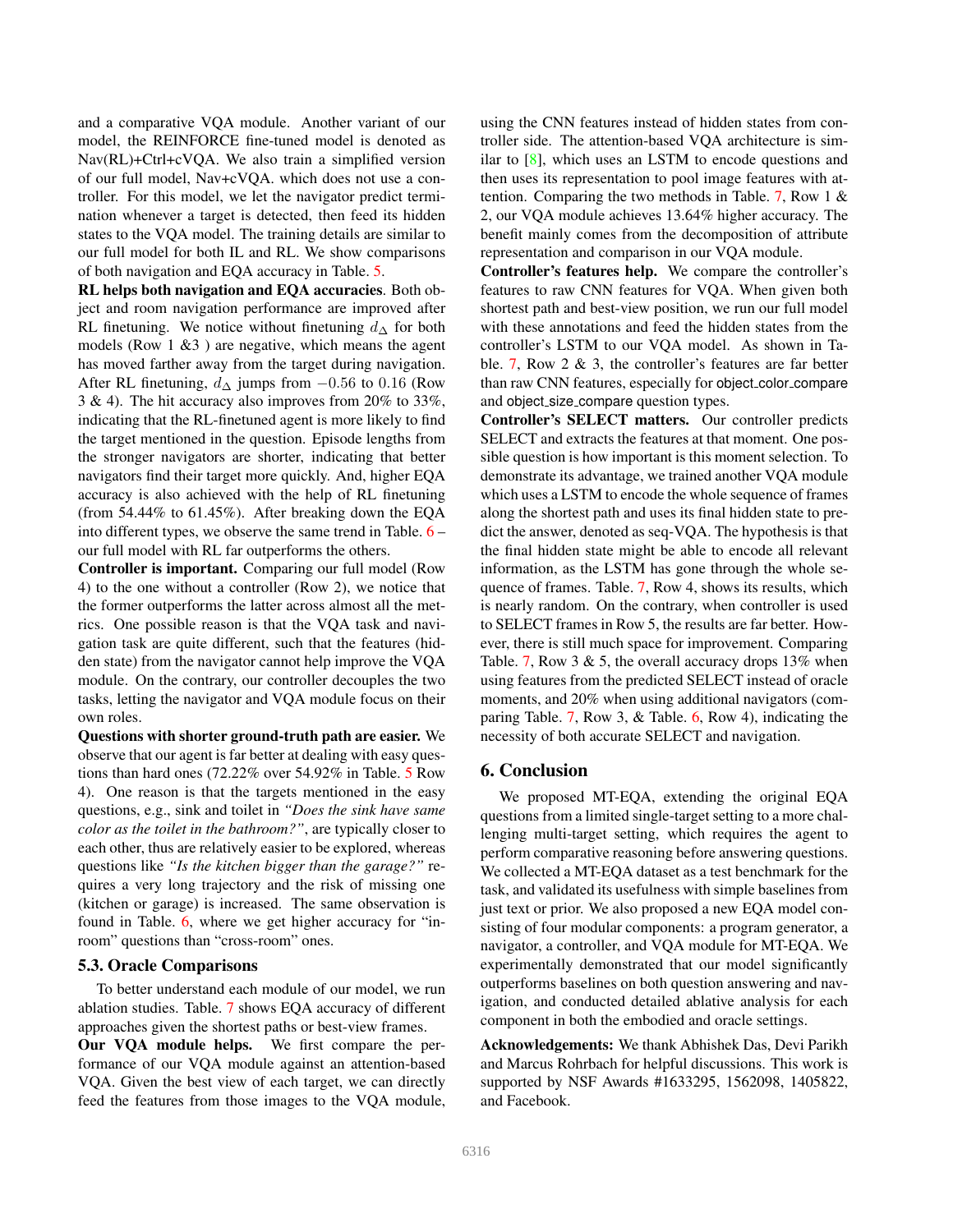and a comparative VQA module. Another variant of our model, the REINFORCE fine-tuned model is denoted as Nav(RL)+Ctrl+cVQA. We also train a simplified version of our full model, Nav+cVQA. which does not use a controller. For this model, we let the navigator predict termination whenever a target is detected, then feed its hidden states to the VQA model. The training details are similar to our full model for both IL and RL. We show comparisons of both navigation and EQA accuracy in Table. 5.

RL helps both navigation and EQA accuracies. Both object and room navigation performance are improved after RL finetuning. We notice without finetuning  $d_$  for both models (Row  $1 \& 3$ ) are negative, which means the agent has moved farther away from the target during navigation. After RL finetuning,  $d_{\Delta}$  jumps from  $-0.56$  to 0.16 (Row 3 & 4). The hit accuracy also improves from 20% to 33%, indicating that the RL-finetuned agent is more likely to find the target mentioned in the question. Episode lengths from the stronger navigators are shorter, indicating that better navigators find their target more quickly. And, higher EQA accuracy is also achieved with the help of RL finetuning (from 54.44% to 61.45%). After breaking down the EQA into different types, we observe the same trend in Table. 6 – our full model with RL far outperforms the others.

Controller is important. Comparing our full model (Row 4) to the one without a controller (Row 2), we notice that the former outperforms the latter across almost all the metrics. One possible reason is that the VQA task and navigation task are quite different, such that the features (hidden state) from the navigator cannot help improve the VQA module. On the contrary, our controller decouples the two tasks, letting the navigator and VQA module focus on their own roles.

Questions with shorter ground-truth path are easier. We observe that our agent is far better at dealing with easy questions than hard ones (72.22% over 54.92% in Table. 5 Row 4). One reason is that the targets mentioned in the easy questions, e.g., sink and toilet in *"Does the sink have same color as the toilet in the bathroom?"*, are typically closer to each other, thus are relatively easier to be explored, whereas questions like *"Is the kitchen bigger than the garage?"* requires a very long trajectory and the risk of missing one (kitchen or garage) is increased. The same observation is found in Table. 6, where we get higher accuracy for "inroom" questions than "cross-room" ones.

## 5.3. Oracle Comparisons

To better understand each module of our model, we run ablation studies. Table. 7 shows EQA accuracy of different approaches given the shortest paths or best-view frames. Our VQA module helps. We first compare the performance of our VQA module against an attention-based VQA. Given the best view of each target, we can directly

feed the features from those images to the VQA module,

using the CNN features instead of hidden states from controller side. The attention-based VQA architecture is similar to [8], which uses an LSTM to encode questions and then uses its representation to pool image features with attention. Comparing the two methods in Table. 7, Row 1 & 2, our VQA module achieves 13.64% higher accuracy. The benefit mainly comes from the decomposition of attribute representation and comparison in our VQA module.

Controller's features help. We compare the controller's features to raw CNN features for VQA. When given both shortest path and best-view position, we run our full model with these annotations and feed the hidden states from the controller's LSTM to our VQA model. As shown in Table. 7, Row 2 & 3, the controller's features are far better than raw CNN features, especially for object color compare and object size compare question types.

Controller's SELECT matters. Our controller predicts SELECT and extracts the features at that moment. One possible question is how important is this moment selection. To demonstrate its advantage, we trained another VQA module which uses a LSTM to encode the whole sequence of frames along the shortest path and uses its final hidden state to predict the answer, denoted as seq-VQA. The hypothesis is that the final hidden state might be able to encode all relevant information, as the LSTM has gone through the whole sequence of frames. Table. 7, Row 4, shows its results, which is nearly random. On the contrary, when controller is used to SELECT frames in Row 5, the results are far better. However, there is still much space for improvement. Comparing Table. 7, Row  $3 \& 5$ , the overall accuracy drops 13% when using features from the predicted SELECT instead of oracle moments, and 20% when using additional navigators (comparing Table. 7, Row 3, & Table. 6, Row 4), indicating the necessity of both accurate SELECT and navigation.

### 6. Conclusion

We proposed MT-EQA, extending the original EQA questions from a limited single-target setting to a more challenging multi-target setting, which requires the agent to perform comparative reasoning before answering questions. We collected a MT-EQA dataset as a test benchmark for the task, and validated its usefulness with simple baselines from just text or prior. We also proposed a new EQA model consisting of four modular components: a program generator, a navigator, a controller, and VQA module for MT-EQA. We experimentally demonstrated that our model significantly outperforms baselines on both question answering and navigation, and conducted detailed ablative analysis for each component in both the embodied and oracle settings.

Acknowledgements: We thank Abhishek Das, Devi Parikh and Marcus Rohrbach for helpful discussions. This work is supported by NSF Awards #1633295, 1562098, 1405822, and Facebook.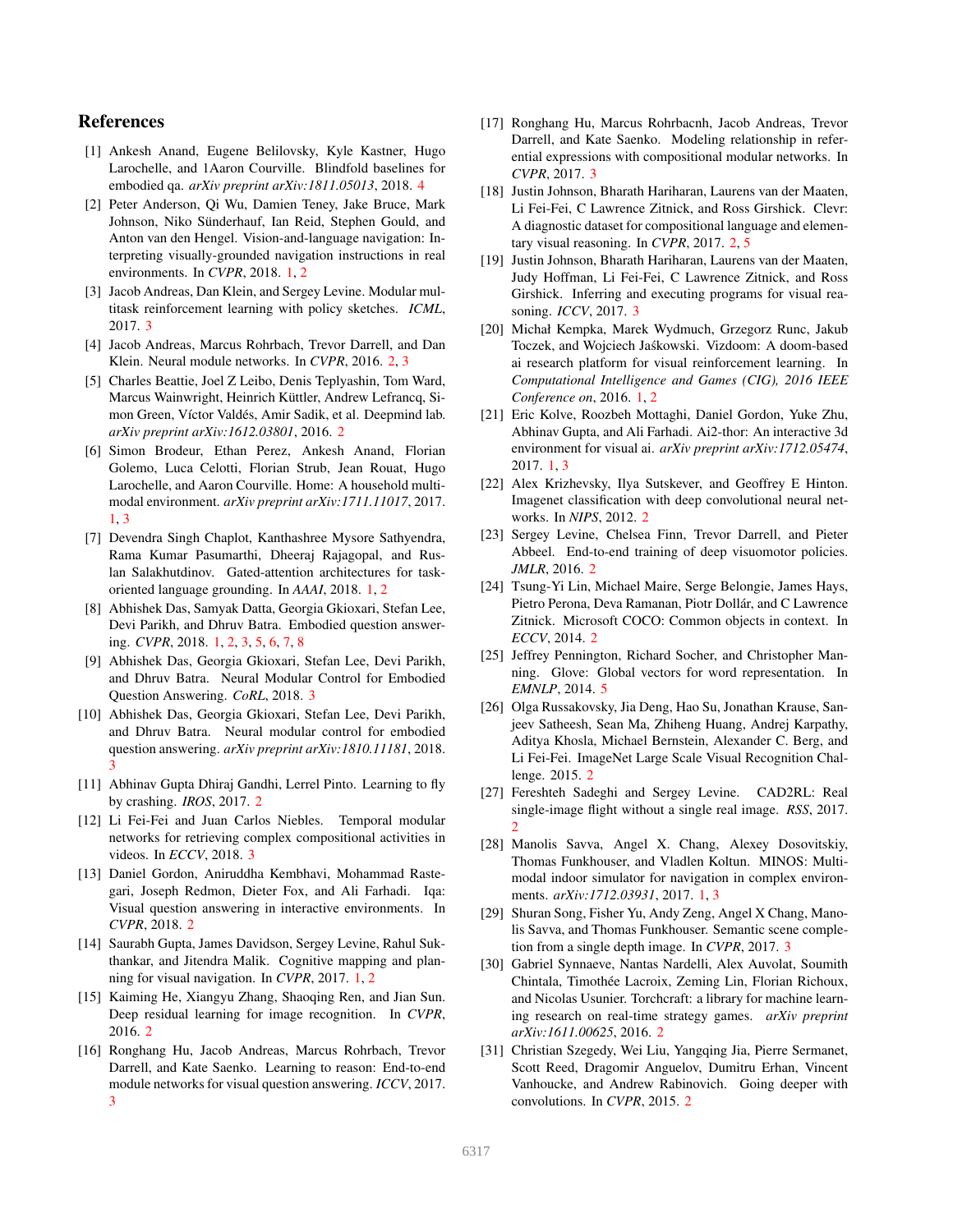## References

- [1] Ankesh Anand, Eugene Belilovsky, Kyle Kastner, Hugo Larochelle, and 1Aaron Courville. Blindfold baselines for embodied qa. *arXiv preprint arXiv:1811.05013*, 2018. 4
- [2] Peter Anderson, Qi Wu, Damien Teney, Jake Bruce, Mark Johnson, Niko Sünderhauf, Ian Reid, Stephen Gould, and Anton van den Hengel. Vision-and-language navigation: Interpreting visually-grounded navigation instructions in real environments. In *CVPR*, 2018. 1, 2
- [3] Jacob Andreas, Dan Klein, and Sergey Levine. Modular multitask reinforcement learning with policy sketches. *ICML*, 2017. 3
- [4] Jacob Andreas, Marcus Rohrbach, Trevor Darrell, and Dan Klein. Neural module networks. In *CVPR*, 2016. 2, 3
- [5] Charles Beattie, Joel Z Leibo, Denis Teplyashin, Tom Ward, Marcus Wainwright, Heinrich Küttler, Andrew Lefrancq, Simon Green, Víctor Valdés, Amir Sadik, et al. Deepmind lab. *arXiv preprint arXiv:1612.03801*, 2016. 2
- [6] Simon Brodeur, Ethan Perez, Ankesh Anand, Florian Golemo, Luca Celotti, Florian Strub, Jean Rouat, Hugo Larochelle, and Aaron Courville. Home: A household multimodal environment. *arXiv preprint arXiv:1711.11017*, 2017. 1, 3
- [7] Devendra Singh Chaplot, Kanthashree Mysore Sathyendra, Rama Kumar Pasumarthi, Dheeraj Rajagopal, and Ruslan Salakhutdinov. Gated-attention architectures for taskoriented language grounding. In *AAAI*, 2018. 1, 2
- [8] Abhishek Das, Samyak Datta, Georgia Gkioxari, Stefan Lee, Devi Parikh, and Dhruv Batra. Embodied question answering. *CVPR*, 2018. 1, 2, 3, 5, 6, 7, 8
- [9] Abhishek Das, Georgia Gkioxari, Stefan Lee, Devi Parikh, and Dhruv Batra. Neural Modular Control for Embodied Question Answering. *CoRL*, 2018. 3
- [10] Abhishek Das, Georgia Gkioxari, Stefan Lee, Devi Parikh, and Dhruv Batra. Neural modular control for embodied question answering. *arXiv preprint arXiv:1810.11181*, 2018. 3
- [11] Abhinav Gupta Dhiraj Gandhi, Lerrel Pinto. Learning to fly by crashing. *IROS*, 2017. 2
- [12] Li Fei-Fei and Juan Carlos Niebles. Temporal modular networks for retrieving complex compositional activities in videos. In *ECCV*, 2018. 3
- [13] Daniel Gordon, Aniruddha Kembhavi, Mohammad Rastegari, Joseph Redmon, Dieter Fox, and Ali Farhadi. Iqa: Visual question answering in interactive environments. In *CVPR*, 2018. 2
- [14] Saurabh Gupta, James Davidson, Sergey Levine, Rahul Sukthankar, and Jitendra Malik. Cognitive mapping and planning for visual navigation. In *CVPR*, 2017. 1, 2
- [15] Kaiming He, Xiangyu Zhang, Shaoqing Ren, and Jian Sun. Deep residual learning for image recognition. In *CVPR*, 2016. 2
- [16] Ronghang Hu, Jacob Andreas, Marcus Rohrbach, Trevor Darrell, and Kate Saenko. Learning to reason: End-to-end module networks for visual question answering. *ICCV*, 2017. 3
- [17] Ronghang Hu, Marcus Rohrbacnh, Jacob Andreas, Trevor Darrell, and Kate Saenko. Modeling relationship in referential expressions with compositional modular networks. In *CVPR*, 2017. 3
- [18] Justin Johnson, Bharath Hariharan, Laurens van der Maaten, Li Fei-Fei, C Lawrence Zitnick, and Ross Girshick. Clevr: A diagnostic dataset for compositional language and elementary visual reasoning. In *CVPR*, 2017. 2, 5
- [19] Justin Johnson, Bharath Hariharan, Laurens van der Maaten, Judy Hoffman, Li Fei-Fei, C Lawrence Zitnick, and Ross Girshick. Inferring and executing programs for visual reasoning. *ICCV*, 2017. 3
- [20] Michał Kempka, Marek Wydmuch, Grzegorz Runc, Jakub Toczek, and Wojciech Jaskowski. Vizdoom: A doom-based ´ ai research platform for visual reinforcement learning. In *Computational Intelligence and Games (CIG), 2016 IEEE Conference on*, 2016. 1, 2
- [21] Eric Kolve, Roozbeh Mottaghi, Daniel Gordon, Yuke Zhu, Abhinav Gupta, and Ali Farhadi. Ai2-thor: An interactive 3d environment for visual ai. *arXiv preprint arXiv:1712.05474*, 2017. 1, 3
- [22] Alex Krizhevsky, Ilya Sutskever, and Geoffrey E Hinton. Imagenet classification with deep convolutional neural networks. In *NIPS*, 2012. 2
- [23] Sergey Levine, Chelsea Finn, Trevor Darrell, and Pieter Abbeel. End-to-end training of deep visuomotor policies. *JMLR*, 2016. 2
- [24] Tsung-Yi Lin, Michael Maire, Serge Belongie, James Hays, Pietro Perona, Deva Ramanan, Piotr Dollár, and C Lawrence Zitnick. Microsoft COCO: Common objects in context. In *ECCV*, 2014. 2
- [25] Jeffrey Pennington, Richard Socher, and Christopher Manning. Glove: Global vectors for word representation. In *EMNLP*, 2014. 5
- [26] Olga Russakovsky, Jia Deng, Hao Su, Jonathan Krause, Sanjeev Satheesh, Sean Ma, Zhiheng Huang, Andrej Karpathy, Aditya Khosla, Michael Bernstein, Alexander C. Berg, and Li Fei-Fei. ImageNet Large Scale Visual Recognition Challenge. 2015. 2
- [27] Fereshteh Sadeghi and Sergey Levine. CAD2RL: Real single-image flight without a single real image. *RSS*, 2017.  $\mathcal{D}$
- [28] Manolis Savva, Angel X. Chang, Alexey Dosovitskiy, Thomas Funkhouser, and Vladlen Koltun. MINOS: Multimodal indoor simulator for navigation in complex environments. *arXiv:1712.03931*, 2017. 1, 3
- [29] Shuran Song, Fisher Yu, Andy Zeng, Angel X Chang, Manolis Savva, and Thomas Funkhouser. Semantic scene completion from a single depth image. In *CVPR*, 2017. 3
- [30] Gabriel Synnaeve, Nantas Nardelli, Alex Auvolat, Soumith Chintala, Timothée Lacroix, Zeming Lin, Florian Richoux, and Nicolas Usunier. Torchcraft: a library for machine learning research on real-time strategy games. *arXiv preprint arXiv:1611.00625*, 2016. 2
- [31] Christian Szegedy, Wei Liu, Yangqing Jia, Pierre Sermanet, Scott Reed, Dragomir Anguelov, Dumitru Erhan, Vincent Vanhoucke, and Andrew Rabinovich. Going deeper with convolutions. In *CVPR*, 2015. 2